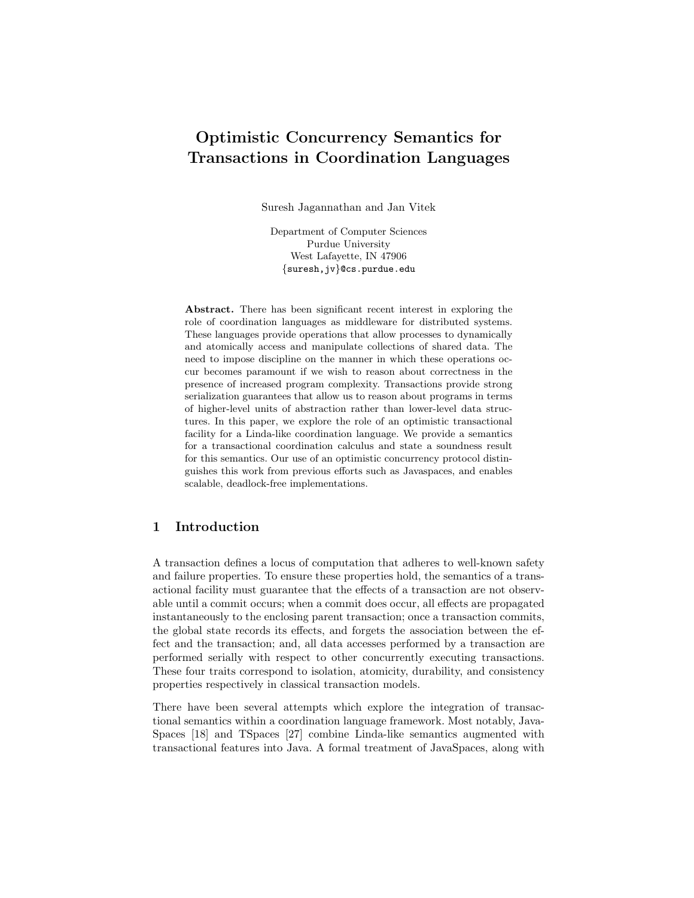# Optimistic Concurrency Semantics for Transactions in Coordination Languages

Suresh Jagannathan and Jan Vitek

Department of Computer Sciences Purdue University West Lafayette, IN 47906 {suresh,jv}@cs.purdue.edu

Abstract. There has been significant recent interest in exploring the role of coordination languages as middleware for distributed systems. These languages provide operations that allow processes to dynamically and atomically access and manipulate collections of shared data. The need to impose discipline on the manner in which these operations occur becomes paramount if we wish to reason about correctness in the presence of increased program complexity. Transactions provide strong serialization guarantees that allow us to reason about programs in terms of higher-level units of abstraction rather than lower-level data structures. In this paper, we explore the role of an optimistic transactional facility for a Linda-like coordination language. We provide a semantics for a transactional coordination calculus and state a soundness result for this semantics. Our use of an optimistic concurrency protocol distinguishes this work from previous efforts such as Javaspaces, and enables scalable, deadlock-free implementations.

## 1 Introduction

A transaction defines a locus of computation that adheres to well-known safety and failure properties. To ensure these properties hold, the semantics of a transactional facility must guarantee that the effects of a transaction are not observable until a commit occurs; when a commit does occur, all effects are propagated instantaneously to the enclosing parent transaction; once a transaction commits, the global state records its effects, and forgets the association between the effect and the transaction; and, all data accesses performed by a transaction are performed serially with respect to other concurrently executing transactions. These four traits correspond to isolation, atomicity, durability, and consistency properties respectively in classical transaction models.

There have been several attempts which explore the integration of transactional semantics within a coordination language framework. Most notably, Java-Spaces [18] and TSpaces [27] combine Linda-like semantics augmented with transactional features into Java. A formal treatment of JavaSpaces, along with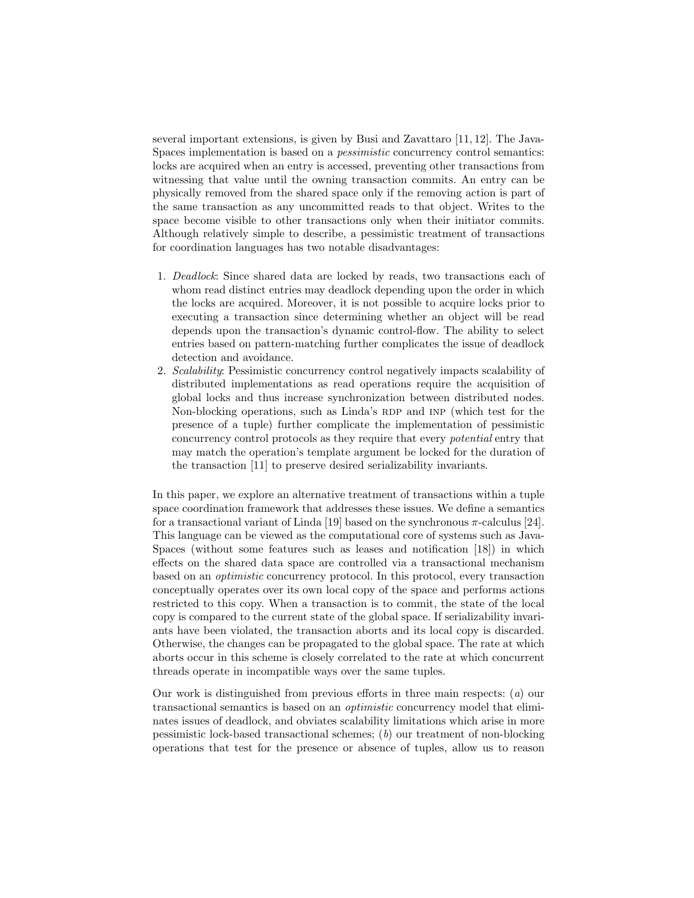several important extensions, is given by Busi and Zavattaro [11, 12]. The Java-Spaces implementation is based on a pessimistic concurrency control semantics: locks are acquired when an entry is accessed, preventing other transactions from witnessing that value until the owning transaction commits. An entry can be physically removed from the shared space only if the removing action is part of the same transaction as any uncommitted reads to that object. Writes to the space become visible to other transactions only when their initiator commits. Although relatively simple to describe, a pessimistic treatment of transactions for coordination languages has two notable disadvantages:

- 1. Deadlock: Since shared data are locked by reads, two transactions each of whom read distinct entries may deadlock depending upon the order in which the locks are acquired. Moreover, it is not possible to acquire locks prior to executing a transaction since determining whether an object will be read depends upon the transaction's dynamic control-flow. The ability to select entries based on pattern-matching further complicates the issue of deadlock detection and avoidance.
- 2. Scalability: Pessimistic concurrency control negatively impacts scalability of distributed implementations as read operations require the acquisition of global locks and thus increase synchronization between distributed nodes. Non-blocking operations, such as Linda's RDP and INP (which test for the presence of a tuple) further complicate the implementation of pessimistic concurrency control protocols as they require that every potential entry that may match the operation's template argument be locked for the duration of the transaction [11] to preserve desired serializability invariants.

In this paper, we explore an alternative treatment of transactions within a tuple space coordination framework that addresses these issues. We define a semantics for a transactional variant of Linda [19] based on the synchronous  $\pi$ -calculus [24]. This language can be viewed as the computational core of systems such as Java-Spaces (without some features such as leases and notification [18]) in which effects on the shared data space are controlled via a transactional mechanism based on an optimistic concurrency protocol. In this protocol, every transaction conceptually operates over its own local copy of the space and performs actions restricted to this copy. When a transaction is to commit, the state of the local copy is compared to the current state of the global space. If serializability invariants have been violated, the transaction aborts and its local copy is discarded. Otherwise, the changes can be propagated to the global space. The rate at which aborts occur in this scheme is closely correlated to the rate at which concurrent threads operate in incompatible ways over the same tuples.

Our work is distinguished from previous efforts in three main respects: (a) our transactional semantics is based on an optimistic concurrency model that eliminates issues of deadlock, and obviates scalability limitations which arise in more pessimistic lock-based transactional schemes; (b) our treatment of non-blocking operations that test for the presence or absence of tuples, allow us to reason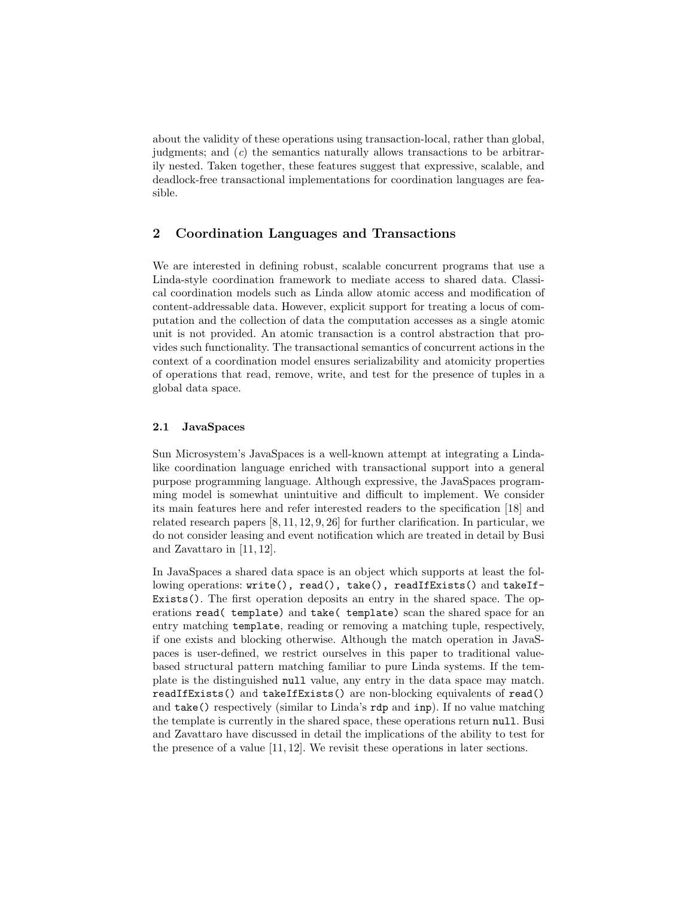about the validity of these operations using transaction-local, rather than global, judgments; and (c) the semantics naturally allows transactions to be arbitrarily nested. Taken together, these features suggest that expressive, scalable, and deadlock-free transactional implementations for coordination languages are feasible.

# 2 Coordination Languages and Transactions

We are interested in defining robust, scalable concurrent programs that use a Linda-style coordination framework to mediate access to shared data. Classical coordination models such as Linda allow atomic access and modification of content-addressable data. However, explicit support for treating a locus of computation and the collection of data the computation accesses as a single atomic unit is not provided. An atomic transaction is a control abstraction that provides such functionality. The transactional semantics of concurrent actions in the context of a coordination model ensures serializability and atomicity properties of operations that read, remove, write, and test for the presence of tuples in a global data space.

#### 2.1 JavaSpaces

Sun Microsystem's JavaSpaces is a well-known attempt at integrating a Lindalike coordination language enriched with transactional support into a general purpose programming language. Although expressive, the JavaSpaces programming model is somewhat unintuitive and difficult to implement. We consider its main features here and refer interested readers to the specification [18] and related research papers [8, 11, 12, 9, 26] for further clarification. In particular, we do not consider leasing and event notification which are treated in detail by Busi and Zavattaro in [11, 12].

In JavaSpaces a shared data space is an object which supports at least the following operations: write(), read(), take(), readIfExists() and takeIf-Exists(). The first operation deposits an entry in the shared space. The operations read( template) and take( template) scan the shared space for an entry matching template, reading or removing a matching tuple, respectively, if one exists and blocking otherwise. Although the match operation in JavaSpaces is user-defined, we restrict ourselves in this paper to traditional valuebased structural pattern matching familiar to pure Linda systems. If the template is the distinguished null value, any entry in the data space may match. readIfExists() and takeIfExists() are non-blocking equivalents of read() and take() respectively (similar to Linda's rdp and inp). If no value matching the template is currently in the shared space, these operations return null. Busi and Zavattaro have discussed in detail the implications of the ability to test for the presence of a value [11, 12]. We revisit these operations in later sections.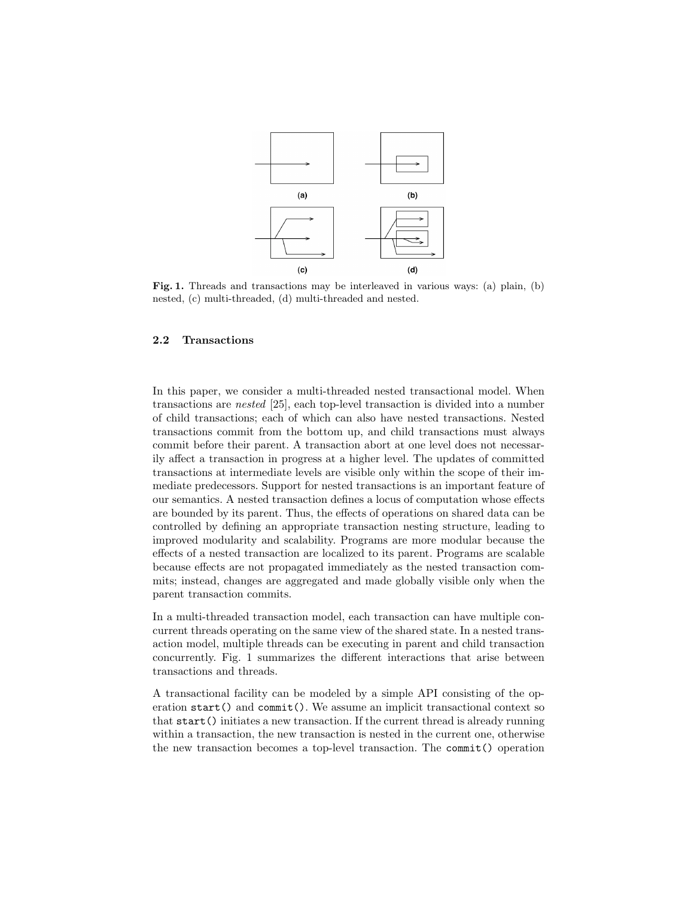

Fig. 1. Threads and transactions may be interleaved in various ways: (a) plain, (b) nested, (c) multi-threaded, (d) multi-threaded and nested.

#### 2.2 Transactions

In this paper, we consider a multi-threaded nested transactional model. When transactions are nested [25], each top-level transaction is divided into a number of child transactions; each of which can also have nested transactions. Nested transactions commit from the bottom up, and child transactions must always commit before their parent. A transaction abort at one level does not necessarily affect a transaction in progress at a higher level. The updates of committed transactions at intermediate levels are visible only within the scope of their immediate predecessors. Support for nested transactions is an important feature of our semantics. A nested transaction defines a locus of computation whose effects are bounded by its parent. Thus, the effects of operations on shared data can be controlled by defining an appropriate transaction nesting structure, leading to improved modularity and scalability. Programs are more modular because the effects of a nested transaction are localized to its parent. Programs are scalable because effects are not propagated immediately as the nested transaction commits; instead, changes are aggregated and made globally visible only when the parent transaction commits.

In a multi-threaded transaction model, each transaction can have multiple concurrent threads operating on the same view of the shared state. In a nested transaction model, multiple threads can be executing in parent and child transaction concurrently. Fig. 1 summarizes the different interactions that arise between transactions and threads.

A transactional facility can be modeled by a simple API consisting of the operation start() and commit(). We assume an implicit transactional context so that start() initiates a new transaction. If the current thread is already running within a transaction, the new transaction is nested in the current one, otherwise the new transaction becomes a top-level transaction. The commit() operation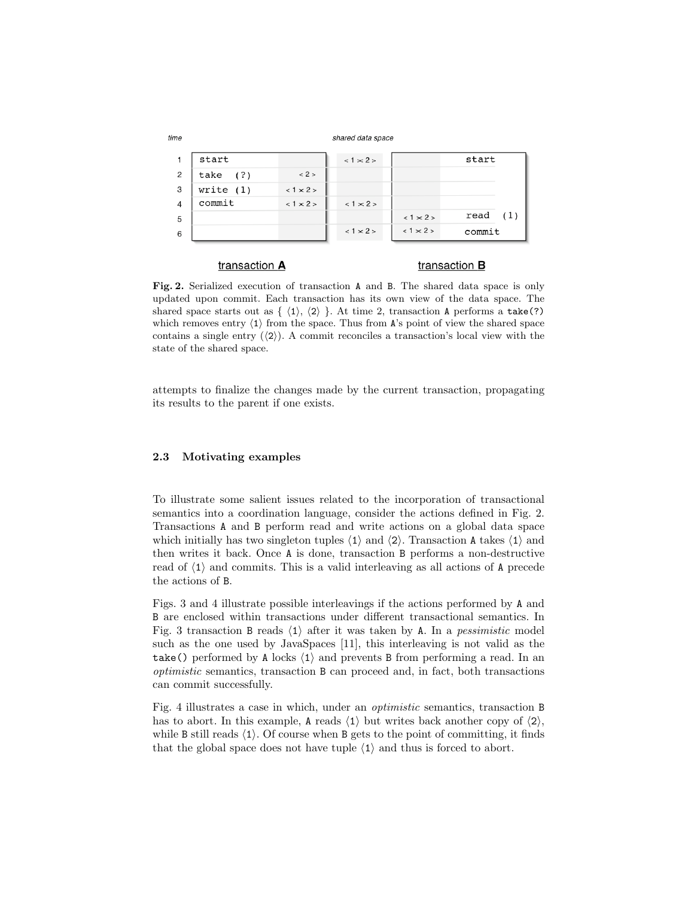shared data space

|                | start      |                  | $< 1 \times 2 >$ |              | start  |     |
|----------------|------------|------------------|------------------|--------------|--------|-----|
| $\overline{2}$ | take $(?)$ | < 2 >            |                  |              |        |     |
| 3              | write(1)   | $< 1 \times 2 >$ |                  |              |        |     |
| $\overline{4}$ | commit     | $< 1 \times 2 >$ | $1 \times 2$     |              |        |     |
| 5              |            |                  |                  | $<1\times2$  | read   | (1) |
| 6              |            |                  | $< 1 \times 2 >$ | $1 \times 2$ | commit |     |
|                |            |                  |                  |              |        |     |

#### transaction A

Fig. 2. Serialized execution of transaction A and B. The shared data space is only updated upon commit. Each transaction has its own view of the data space. The shared space starts out as  $\{ \langle 1 \rangle, \langle 2 \rangle \}$ . At time 2, transaction A performs a take(?) which removes entry  $\langle 1 \rangle$  from the space. Thus from A's point of view the shared space contains a single entry  $(\langle 2 \rangle)$ . A commit reconciles a transaction's local view with the state of the shared space.

transaction **B** 

attempts to finalize the changes made by the current transaction, propagating its results to the parent if one exists.

#### 2.3 Motivating examples

To illustrate some salient issues related to the incorporation of transactional semantics into a coordination language, consider the actions defined in Fig. 2. Transactions A and B perform read and write actions on a global data space which initially has two singleton tuples  $\langle 1 \rangle$  and  $\langle 2 \rangle$ . Transaction A takes  $\langle 1 \rangle$  and then writes it back. Once A is done, transaction B performs a non-destructive read of  $\langle 1 \rangle$  and commits. This is a valid interleaving as all actions of A precede the actions of B.

Figs. 3 and 4 illustrate possible interleavings if the actions performed by A and B are enclosed within transactions under different transactional semantics. In Fig. 3 transaction B reads  $\langle 1 \rangle$  after it was taken by A. In a *pessimistic* model such as the one used by JavaSpaces [11], this interleaving is not valid as the take() performed by A locks  $\langle 1 \rangle$  and prevents B from performing a read. In an optimistic semantics, transaction B can proceed and, in fact, both transactions can commit successfully.

Fig. 4 illustrates a case in which, under an optimistic semantics, transaction B has to abort. In this example, A reads  $\langle 1 \rangle$  but writes back another copy of  $\langle 2 \rangle$ , while B still reads  $(1)$ . Of course when B gets to the point of committing, it finds that the global space does not have tuple  $\langle 1 \rangle$  and thus is forced to abort.

time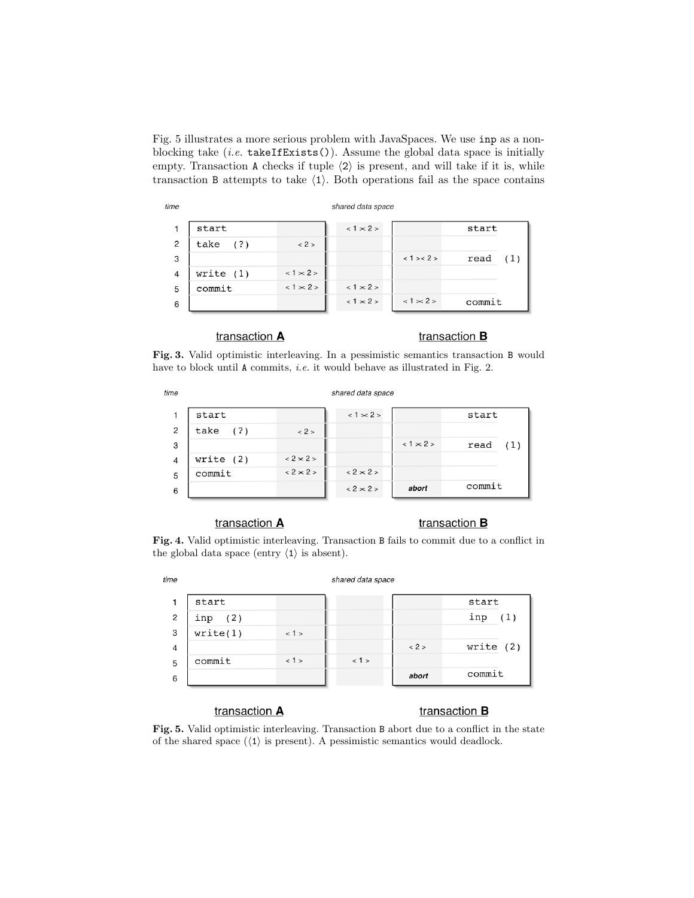Fig. 5 illustrates a more serious problem with JavaSpaces. We use inp as a nonblocking take (*i.e.*  $\text{takeIfExists()}$ ). Assume the global data space is initially empty. Transaction A checks if tuple  $\langle 2 \rangle$  is present, and will take if it is, while transaction B attempts to take  $\langle 1 \rangle$ . Both operations fail as the space contains

| time |             |                  | shared data space |             |        |
|------|-------------|------------------|-------------------|-------------|--------|
|      | start       |                  | $< 1 \times 2 >$  |             | start  |
| 2    | take<br>(?) | $<2>$            |                   |             |        |
| 3    |             |                  |                   | < 1 > < 2 > | read   |
| 4    | write $(1)$ | $< 1 \times 2 >$ |                   |             |        |
| 5    | commit      | $< 1 \times 2 >$ | $< 1 \times 2 >$  |             |        |
| 6    |             |                  | $< 1 \times 2 >$  | $<1\times2$ | commit |

### transaction A

### transaction **B**

Fig. 3. Valid optimistic interleaving. In a pessimistic semantics transaction B would have to block until  $A$  commits, *i.e.* it would behave as illustrated in Fig. 2.

| time           |             |                  | shared data space |             |             |  |
|----------------|-------------|------------------|-------------------|-------------|-------------|--|
|                | start       |                  | $<1 \times 2$     |             | start       |  |
| $\overline{2}$ | take<br>(?) | < 2 >            |                   |             |             |  |
| 3              |             |                  |                   | $<1\times2$ | read<br>(1) |  |
| $\overline{4}$ | write(2)    | $< 2 \times 2 >$ |                   |             |             |  |
| 5              | commit      | $< 2 \times 2 >$ | $< 2 \times 2 >$  |             |             |  |
| 6              |             |                  | $< 2 \times 2 >$  | abort       | commit      |  |

### transaction A

#### transaction **B**

Fig. 4. Valid optimistic interleaving. Transaction B fails to commit due to a conflict in the global data space (entry  $\langle 1 \rangle$  is absent).

| time           |            |     | shared data space |       |            |
|----------------|------------|-----|-------------------|-------|------------|
|                | start      |     |                   |       | start      |
| $\overline{2}$ | inp<br>(2) |     |                   |       | inp<br>(1) |
| 3              | write(1)   | < 1 |                   |       |            |
| $\overline{4}$ |            |     |                   | < 2 > | write(2)   |
| 5              | commit     | < 1 | < 1               |       |            |
| 6              |            |     |                   | abort | commit     |
|                |            |     |                   |       |            |

# transaction A

# transaction **B**

Fig. 5. Valid optimistic interleaving. Transaction B abort due to a conflict in the state of the shared space ( $\langle 1 \rangle$  is present). A pessimistic semantics would deadlock.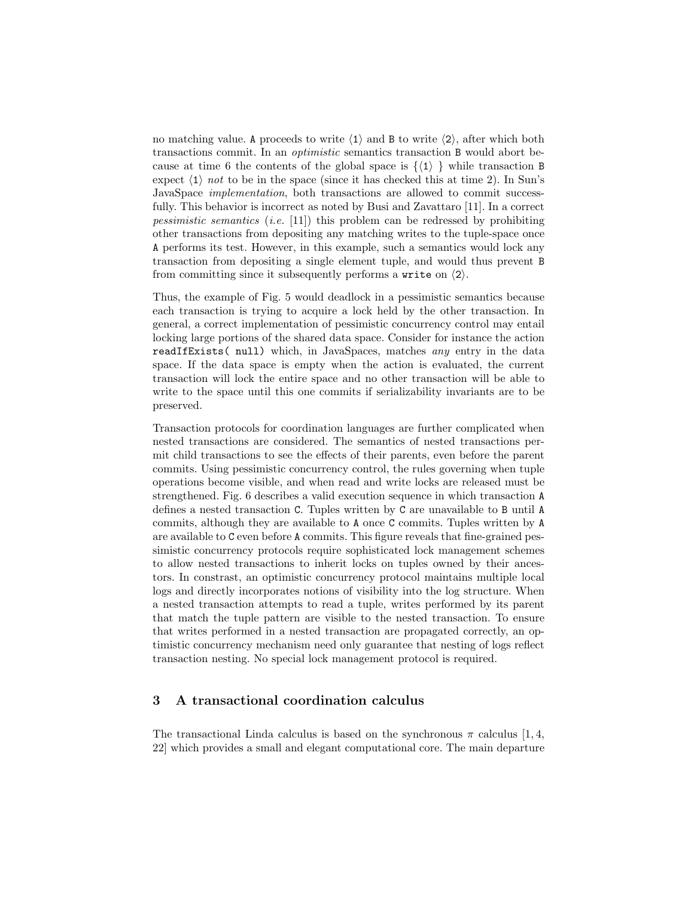no matching value. A proceeds to write  $\langle 1 \rangle$  and B to write  $\langle 2 \rangle$ , after which both transactions commit. In an optimistic semantics transaction B would abort because at time 6 the contents of the global space is  $\{\langle 1 \rangle \}$  while transaction B expect  $\langle 1 \rangle$  *not* to be in the space (since it has checked this at time 2). In Sun's JavaSpace implementation, both transactions are allowed to commit successfully. This behavior is incorrect as noted by Busi and Zavattaro [11]. In a correct pessimistic semantics (i.e.  $[11]$ ) this problem can be redressed by prohibiting other transactions from depositing any matching writes to the tuple-space once A performs its test. However, in this example, such a semantics would lock any transaction from depositing a single element tuple, and would thus prevent B from committing since it subsequently performs a write on  $\langle 2 \rangle$ .

Thus, the example of Fig. 5 would deadlock in a pessimistic semantics because each transaction is trying to acquire a lock held by the other transaction. In general, a correct implementation of pessimistic concurrency control may entail locking large portions of the shared data space. Consider for instance the action readIfExists( null) which, in JavaSpaces, matches any entry in the data space. If the data space is empty when the action is evaluated, the current transaction will lock the entire space and no other transaction will be able to write to the space until this one commits if serializability invariants are to be preserved.

Transaction protocols for coordination languages are further complicated when nested transactions are considered. The semantics of nested transactions permit child transactions to see the effects of their parents, even before the parent commits. Using pessimistic concurrency control, the rules governing when tuple operations become visible, and when read and write locks are released must be strengthened. Fig. 6 describes a valid execution sequence in which transaction A defines a nested transaction C. Tuples written by C are unavailable to B until A commits, although they are available to A once C commits. Tuples written by A are available to C even before A commits. This figure reveals that fine-grained pessimistic concurrency protocols require sophisticated lock management schemes to allow nested transactions to inherit locks on tuples owned by their ancestors. In constrast, an optimistic concurrency protocol maintains multiple local logs and directly incorporates notions of visibility into the log structure. When a nested transaction attempts to read a tuple, writes performed by its parent that match the tuple pattern are visible to the nested transaction. To ensure that writes performed in a nested transaction are propagated correctly, an optimistic concurrency mechanism need only guarantee that nesting of logs reflect transaction nesting. No special lock management protocol is required.

# 3 A transactional coordination calculus

The transactional Linda calculus is based on the synchronous  $\pi$  calculus [1, 4, 22] which provides a small and elegant computational core. The main departure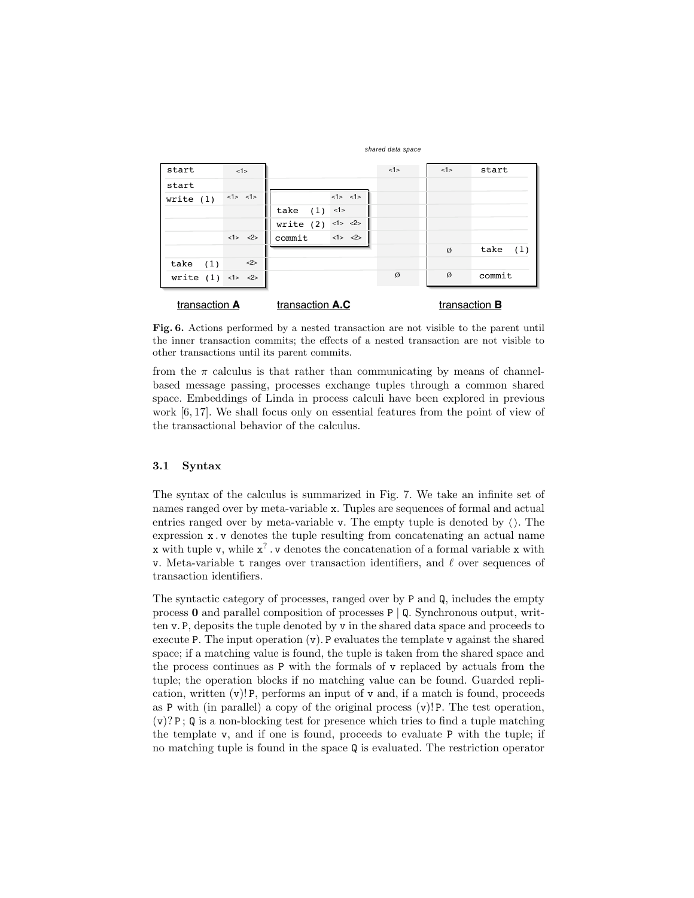

| start               | <1>            |                          | <1> | <1>                  | start       |
|---------------------|----------------|--------------------------|-----|----------------------|-------------|
| start               |                |                          |     |                      |             |
| write $(1)$         | $<1>$ $<1>$    | $<1>$ $<1>$              |     |                      |             |
|                     |                | take $(1)$ <1>           |     |                      |             |
|                     |                | write $(2)$ <1> <2>      |     |                      |             |
|                     | $<1>z$ < $<2>$ | $commit \le 1$ < 1> < 2> |     |                      |             |
|                     |                |                          |     | Ø                    | take<br>(1) |
| take $(1)$          | <2>            |                          |     |                      |             |
| write $(1)$ <1> <2> |                |                          | Ø   | Ø                    | commit      |
| transaction A       |                | transaction <b>A.C</b>   |     | transaction <b>B</b> |             |

Fig. 6. Actions performed by a nested transaction are not visible to the parent until the inner transaction commits; the effects of a nested transaction are not visible to other transactions until its parent commits.

from the  $\pi$  calculus is that rather than communicating by means of channelbased message passing, processes exchange tuples through a common shared space. Embeddings of Linda in process calculi have been explored in previous work [6, 17]. We shall focus only on essential features from the point of view of the transactional behavior of the calculus.

#### 3.1 Syntax

The syntax of the calculus is summarized in Fig. 7. We take an infinite set of names ranged over by meta-variable x. Tuples are sequences of formal and actual entries ranged over by meta-variable v. The empty tuple is denoted by  $\langle \rangle$ . The expression x . v denotes the tuple resulting from concatenating an actual name x with tuple v, while  $x^?$  v denotes the concatenation of a formal variable x with v. Meta-variable t ranges over transaction identifiers, and  $\ell$  over sequences of transaction identifiers.

The syntactic category of processes, ranged over by P and Q, includes the empty process 0 and parallel composition of processes  $P | Q$ . Synchronous output, written v. P, deposits the tuple denoted by v in the shared data space and proceeds to execute P. The input operation  $(v)$ . P evaluates the template v against the shared space; if a matching value is found, the tuple is taken from the shared space and the process continues as P with the formals of v replaced by actuals from the tuple; the operation blocks if no matching value can be found. Guarded replication, written  $(v)$ ! P, performs an input of v and, if a match is found, proceeds as P with (in parallel) a copy of the original process  $(v)!$  P. The test operation,  $(v)$ ? P; Q is a non-blocking test for presence which tries to find a tuple matching the template v, and if one is found, proceeds to evaluate P with the tuple; if no matching tuple is found in the space Q is evaluated. The restriction operator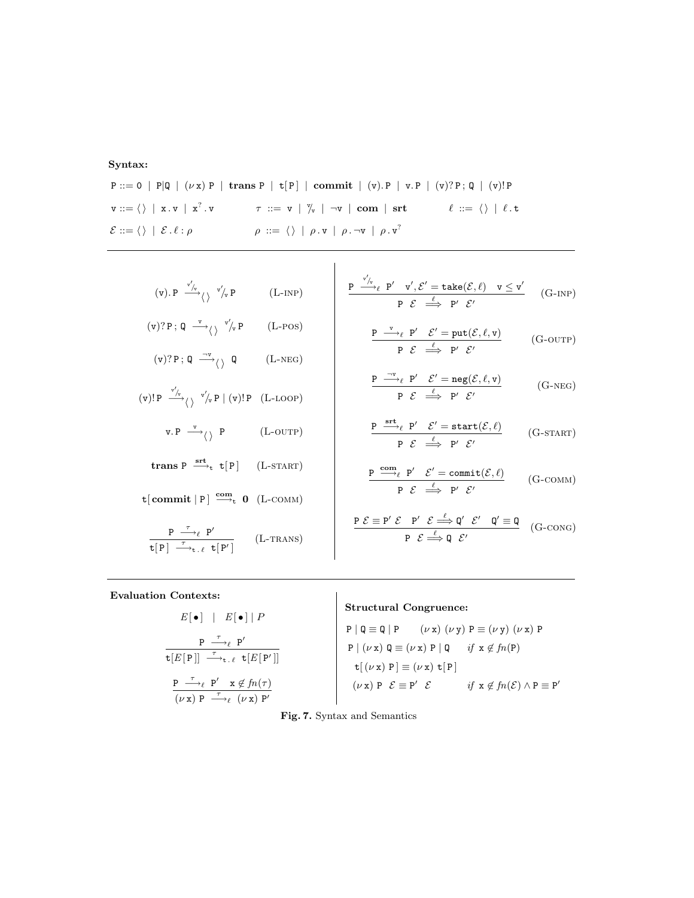Syntax:

 $P ::= 0 | P|Q | (\nu x) P | trans P | t[P] | commit | (v).P | v.P | (v)?P; Q | (v)!P$  ${\tt v} ::= \langle \, \rangle \, \mid \, {\tt x} \, . \, {\tt v} \, \mid \, {\tt x}^? \, . \, {\tt v} \qquad \quad \tau \, ::= \, {\tt v} \, \mid \, \frac{\tt v}{\tt v} \, \mid \, \neg {\tt v} \, \mid \, {\tt com} \, \mid \, {\tt srt} \qquad \quad \ell \, ::= \, \langle \, \rangle \, \mid \, \ell \, . \, {\tt t} \,$  $\mathcal{E} ::= \langle \rangle \,\mid\, \mathcal{E} \, . \, \ell : \rho \qquad \qquad \rho \; ::= \; \langle \rangle \,\mid\, \rho \, . \, \mathtt{v} \,\mid\, \rho \, . \, \mathtt{\neg v} \,\mid\, \rho \, . \, \mathtt{v}^?$ 

 $(v)! P \stackrel{v'_{\text{iv}}}{\longrightarrow}_{\text{iv}} v'_{\text{iv}} P | (v)! P (L\text{-LOOP})$ 

 $v.P \xrightarrow{v} \langle \rangle P$  (L-OUTP)

trans  $P \stackrel{\text{str}}{\longrightarrow} t [P]$  (L-START)

 $t[$  commit | P ]  $\stackrel{com}{\longrightarrow}_t 0$  (L-COMM)

P

 $(v). P \xrightarrow{v'_{\sqrt{v}}} \langle \rangle \xrightarrow{v'_{\sqrt{v}}} P$  (L-INP)  $(v)? P; Q \longrightarrow_{\langle}^v \qquad^{\forall}/_v P$  (L-POS)  $(v)? P ; Q \longrightarrow_{\langle} Q \qquad (L-NEG)$  ${\mathtt P} \overset{{\mathtt v}'_{{/\mathtt v}}}{\longrightarrow}_\ell {\mathtt P}' \quad {\mathtt v}', {\mathcal E}' = \mathtt{take}({\mathcal E},\ell) \quad {\mathtt v} \leq {\mathtt v}'$  $\overline{P} \xrightarrow{\ell} P' \xrightarrow{\ell} P'$  (G-INP)<br>  $\overline{P} \xrightarrow{\ell} P' \xrightarrow{\ell'}$  $P \stackrel{v}{\longrightarrow}_{\ell} P' \quad \mathcal{E}' = \text{put}(\mathcal{E}, \ell, v)$  $\frac{\ell}{\ell} \stackrel{\text{P}}{\rightarrow} \frac{\ell}{\ell} \stackrel{\ell}{\Rightarrow} \frac{\text{pt}(C,\ell,\nu)}{\ell}$  (G-OUTP)

$$
\frac{\mathbf{p} \xrightarrow{\neg \mathbf{v}} \ell \ \mathbf{p}' \ \mathcal{E}' = \mathbf{n} \mathbf{e} \mathbf{g}(\mathcal{E}, \ell, \mathbf{v})}{\mathbf{p} \ \mathcal{E} \xrightarrow{\ell} \mathbf{p}' \ \mathcal{E}'} \qquad \qquad \text{(G-NEG)}
$$

$$
\frac{\mathbf{P} \xrightarrow{\text{str}} \ell \ \mathbf{P}' \ \mathcal{E}' = \text{start}(\mathcal{E}, \ell)}{\mathbf{P} \ \mathcal{E} \xrightarrow{\ell} \mathbf{P}' \ \mathcal{E}'} \qquad \text{(G-START)}
$$

$$
\frac{\mathbf{p} \xrightarrow{\text{com}} \ell \ \mathbf{p}' \ \mathcal{E}' = \text{commit}(\mathcal{E}, \ell)}{\mathbf{p} \ \mathcal{E} \xrightarrow{\ell} \mathbf{p}' \ \mathcal{E}'} \qquad \text{(G-COMM)}
$$

$$
\frac{P \xrightarrow{\tau} P'}{t[P] \xrightarrow{\tau} t \cdot \ell t[P']} \qquad (L\text{-trans})
$$
\n
$$
\begin{array}{c|c}\n\text{P} \mathcal{E} \equiv P' \mathcal{E} & P' \mathcal{E} \xrightarrow{\ell} \mathbb{Q}' & \mathcal{E}' \quad \mathbb{Q}' \equiv \mathbb{Q} \\
\hline\n\text{P} \mathcal{E} \xrightarrow{\ell} \mathbb{Q} & \mathcal{E}'\n\end{array} \qquad \text{(G-CONG)}
$$

Evaluation Contexts:  $E\big[\bullet\big] \ \ \big\vert \ \ E\big[\bullet\big] \ \big\vert \ P$  $P \stackrel{\tau}{\longrightarrow}_{\ell} P'$  $\mathsf{t}[E[\, \mathtt{P}]] \stackrel{\tau}{\longrightarrow}_{\mathtt{t}.\ell} \mathsf{t}[E[\, \mathtt{P}']]$  $P \stackrel{\tau}{\longrightarrow}_{\ell} P' \quad x \notin fn(\tau)$  $(\nu x) P \stackrel{\tau}{\longrightarrow}_{\ell} (\nu x) P'$ Structural Congruence:  $P | Q \equiv Q | P$  ( $\nu x)$  ( $\nu y$ )  $P \equiv (\nu y)$  ( $\nu x$ ) P  $P \mid (\nu \times) \mathsf{Q} \equiv (\nu \times) P \mid \mathsf{Q} \quad \text{if } \mathsf{x} \not\in fn(P)$  $t[(\nu x) P] \equiv (\nu x) t[P]$  $(\nu \times)$  P  $\mathcal{E} \equiv P'$   $\mathcal{E}$   $if \times \mathcal{E}$   $fn(\mathcal{E})$   $\wedge$  P  $\equiv$  P'

Fig. 7. Syntax and Semantics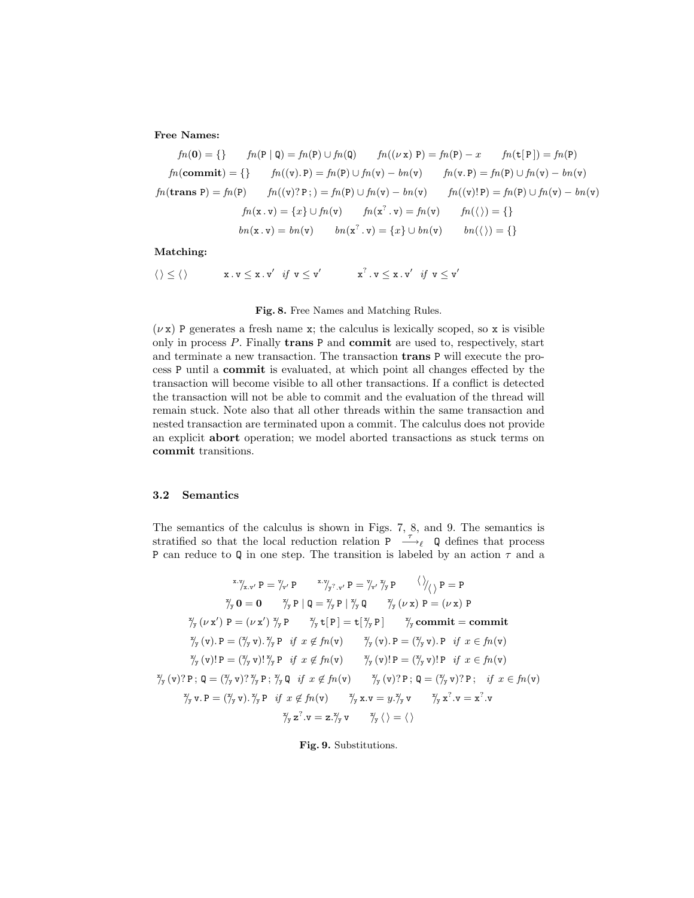Free Names:

$$
fn(\mathbf{0}) = \{\} \qquad fn(\mathbf{P} \mid \mathbf{Q}) = fn(\mathbf{P}) \cup fn(\mathbf{Q}) \qquad fn(\mathbf{v} \times \mathbf{P}) = fn(\mathbf{P}) - x \qquad fn(\mathbf{t} \mid \mathbf{P})\} = fn(\mathbf{P})
$$
\n
$$
fn(\mathbf{commit}) = \{\} \qquad fn(\mathbf{v}) \cdot \mathbf{P} = fn(\mathbf{P}) \cup fn(\mathbf{v}) - bn(\mathbf{v}) \qquad fn(\mathbf{v} \cdot \mathbf{P}) = fn(\mathbf{P}) \cup fn(\mathbf{v}) - bn(\mathbf{v})
$$
\n
$$
fn(\mathbf{trans}\ \mathbf{P}) = fn(\mathbf{P}) \qquad fn(\mathbf{v})? \mathbf{P}; \mathbf{P} = fn(\mathbf{P}) \cup fn(\mathbf{v}) - bn(\mathbf{v}) \qquad fn(\mathbf{v})! \mathbf{P} = fn(\mathbf{P}) \cup fn(\mathbf{v}) - bn(\mathbf{v})
$$
\n
$$
fn(\mathbf{x} \cdot \mathbf{v}) = \{x\} \cup fn(\mathbf{v}) \qquad fn(\mathbf{x}^2 \cdot \mathbf{v}) = fn(\mathbf{v}) \qquad fn(\mathbf{x}) \cdot \mathbf{P} = \{\}
$$
\n
$$
bn(\mathbf{x} \cdot \mathbf{v}) = bn(\mathbf{v}) \qquad bn(\mathbf{x}^2 \cdot \mathbf{v}) = \{x\} \cup bn(\mathbf{v}) \qquad bn(\mathbf{x}) = \{\}
$$

Matching:

$$
\langle\, \rangle \leq \langle\, \rangle \hspace{1cm} x \, . \, v \leq x \, . \, v' \ \ \, \text{if} \ \, v \leq v' \hspace{1cm} x^? \, . \, v \leq x \, . \, v' \ \ \, \text{if} \ \, v \leq v'
$$

#### Fig. 8. Free Names and Matching Rules.

 $(\nu x)$  P generates a fresh name x; the calculus is lexically scoped, so x is visible only in process  $P$ . Finally **trans P** and **commit** are used to, respectively, start and terminate a new transaction. The transaction trans P will execute the process P until a commit is evaluated, at which point all changes effected by the transaction will become visible to all other transactions. If a conflict is detected the transaction will not be able to commit and the evaluation of the thread will remain stuck. Note also that all other threads within the same transaction and nested transaction are terminated upon a commit. The calculus does not provide an explicit abort operation; we model aborted transactions as stuck terms on commit transitions.

#### 3.2 Semantics

The semantics of the calculus is shown in Figs. 7, 8, and 9. The semantics is stratified so that the local reduction relation  $\overrightarrow{P}$   $\rightarrow$  Q defines that process P can reduce to Q in one step. The transition is labeled by an action  $\tau$  and a

$$
x.y_{x,v'}p = y_{v'}p \qquad x.y_{y^?,v'}p = y_{v'}y_{y}p \qquad \langle y_{(x)}p \rangle = p
$$
  
\n
$$
y_y = 0 \qquad y_y = 0 \qquad y_y = 0 \qquad y_y = 0 \qquad y_y = 0
$$
  
\n
$$
y_y = 0 \qquad y_y = 0 \qquad y_y = 0 \qquad y_y = 0
$$
  
\n
$$
y_y = 0 \qquad y_y = 0 \qquad y_y = 0
$$
  
\n
$$
y_y = 0 \qquad y_y = 0 \qquad y_y = 0
$$
  
\n
$$
y_y = 0 \qquad y_y = 0
$$
  
\n
$$
y_y = 0 \qquad y_y = 0
$$
  
\n
$$
y_y = 0 \qquad y_y = 0
$$
  
\n
$$
y_y = 0 \qquad y_y = 0
$$
  
\n
$$
y_y = 0 \qquad y_y = 0
$$
  
\n
$$
y_y = 0 \qquad y_y = 0
$$
  
\n
$$
y_y = 0 \qquad y_y = 0
$$
  
\n
$$
y_y = 0 \qquad y_y = 0
$$
  
\n
$$
y_y = 0 \qquad y_y = 0
$$
  
\n
$$
y_y = 0 \qquad y_y = 0
$$
  
\n
$$
y_y = 0 \qquad y_y = 0
$$
  
\n
$$
y_y = 0 \qquad y_y = 0
$$
  
\n
$$
y_y = 0 \qquad y_y = 0
$$
  
\n
$$
y_y = 0 \qquad y_y = 0
$$
  
\n
$$
y_y = 0 \qquad y_y = 0
$$
  
\n
$$
y_y = 0 \qquad y_y = 0
$$
  
\n
$$
y_y = 0 \qquad y_y = 0
$$
  
\n
$$
y_y = 0 \qquad y_y = 0
$$
  
\n
$$
y_y = 0 \qquad y_y = 0
$$
  
\n
$$
y_y = 0 \qquad y_y = 0
$$
  
\n
$$
y_y = 0 \qquad y_y = 0
$$
  
\n
$$
y_y = 0 \qquad y_y = 0
$$
<

Fig. 9. Substitutions.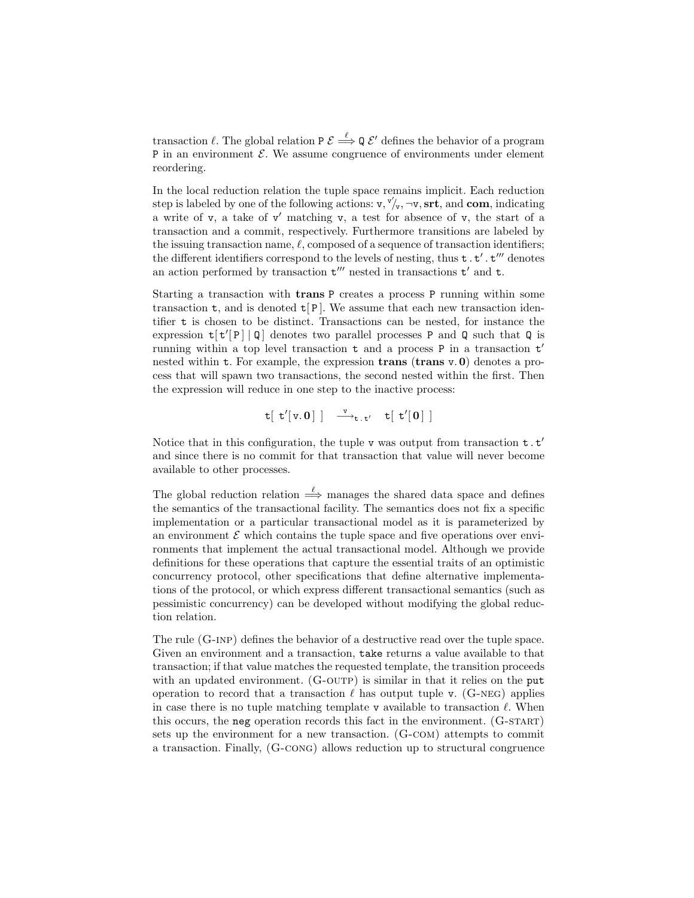transaction  $\ell$ . The global relation  $P \mathcal{E} \stackrel{\ell}{\Longrightarrow} Q \mathcal{E}'$  defines the behavior of a program P in an environment  $\mathcal{E}$ . We assume congruence of environments under element reordering.

In the local reduction relation the tuple space remains implicit. Each reduction step is labeled by one of the following actions:  $v, v'_v, \neg v, srt$ , and com, indicating a write of v, a take of v' matching v, a test for absence of v, the start of a transaction and a commit, respectively. Furthermore transitions are labeled by the issuing transaction name,  $\ell$ , composed of a sequence of transaction identifiers; the different identifiers correspond to the levels of nesting, thus  $t \cdot t''$ .  $t'''$  denotes an action performed by transaction  $t'''$  nested in transactions  $t'$  and  $t$ .

Starting a transaction with trans P creates a process P running within some transaction **t**, and is denoted  $\mathbf{t}[\mathbf{P}]$ . We assume that each new transaction identifier t is chosen to be distinct. Transactions can be nested, for instance the expression  $t[t'[P] | Q]$  denotes two parallel processes P and Q such that Q is running within a top level transaction **t** and a process P in a transaction **t'** nested within t. For example, the expression trans (trans v. 0) denotes a process that will spawn two transactions, the second nested within the first. Then the expression will reduce in one step to the inactive process:

$$
\mathtt{t}[\ \mathtt{t}'[\,\mathtt{v},0\,]\ \ ]\ \stackrel{\mathtt{v}}{\longrightarrow}_{\mathtt{t}\,\mathtt{.}\,\mathtt{t}'}\ \mathtt{t}[\ \mathtt{t}'[\,0\,]\ ]
$$

Notice that in this configuration, the tuple **v** was output from transaction **t** . **t**' and since there is no commit for that transaction that value will never become available to other processes.

The global reduction relation  $\stackrel{\ell}{\Longrightarrow}$  manages the shared data space and defines the semantics of the transactional facility. The semantics does not fix a specific implementation or a particular transactional model as it is parameterized by an environment  $\mathcal E$  which contains the tuple space and five operations over environments that implement the actual transactional model. Although we provide definitions for these operations that capture the essential traits of an optimistic concurrency protocol, other specifications that define alternative implementations of the protocol, or which express different transactional semantics (such as pessimistic concurrency) can be developed without modifying the global reduction relation.

The rule (G-inp) defines the behavior of a destructive read over the tuple space. Given an environment and a transaction, take returns a value available to that transaction; if that value matches the requested template, the transition proceeds with an updated environment.  $(G\text{-}\text{OUTP})$  is similar in that it relies on the put operation to record that a transaction  $\ell$  has output tuple v. (G-NEG) applies in case there is no tuple matching template  $v$  available to transaction  $\ell$ . When this occurs, the neg operation records this fact in the environment. (G-start) sets up the environment for a new transaction. (G-com) attempts to commit a transaction. Finally, (G-cong) allows reduction up to structural congruence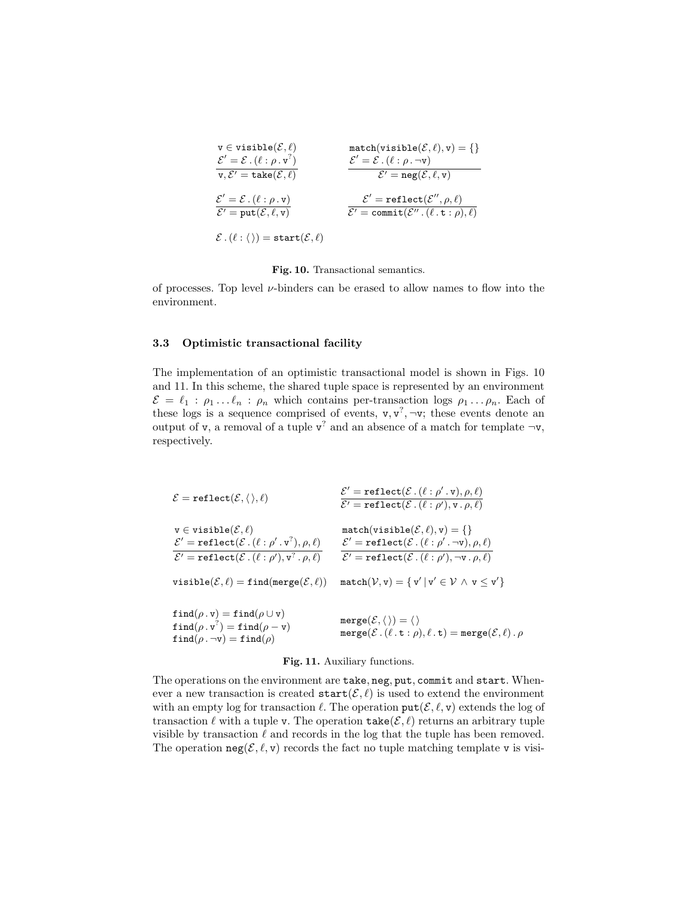| $v \in \mathtt{visible}(\mathcal{E}, \ell)$                                      | $match(visible(\mathcal{E}, \ell), v) = \{\}$                       |
|----------------------------------------------------------------------------------|---------------------------------------------------------------------|
| $\mathcal{E}' = \mathcal{E} \cdot (\ell : \rho \cdot \mathbf{v}^?)$              | $\mathcal{E}' = \mathcal{E} \cdot (\ell : \rho \cdot \neg v)$       |
| $\mathbf{v}, \mathcal{E}' = \mathtt{take}(\mathcal{E}, \ell)$                    | $\mathcal{E}' = \text{neg}(\mathcal{E}, \ell, v)$                   |
| $\mathcal{E}' = \mathcal{E} \cdot (\ell : \rho \cdot v)$                         | $\mathcal{E}' = \texttt{reflect}(\mathcal{E}'', \rho, \ell)$        |
| $\mathcal{E}' = \text{put}(\mathcal{E}, \ell, v)$                                | $\mathcal{E}' = \text{commit}(\mathcal{E}''.(\ell.t : \rho), \ell)$ |
| $\mathcal{E} \cdot (\ell : \langle \rangle) = \texttt{start}(\mathcal{E}, \ell)$ |                                                                     |

#### Fig. 10. Transactional semantics.

of processes. Top level  $\nu$ -binders can be erased to allow names to flow into the environment.

#### 3.3 Optimistic transactional facility

The implementation of an optimistic transactional model is shown in Figs. 10 and 11. In this scheme, the shared tuple space is represented by an environment  $\mathcal{E} = \ell_1 : \rho_1 \dots \ell_n : \rho_n$  which contains per-transaction logs  $\rho_1 \dots \rho_n$ . Each of these logs is a sequence comprised of events,  $v, v^7, \neg v$ ; these events denote an output of **v**, a removal of a tuple **v**<sup>?</sup> and an absence of a match for template  $\neg$ **v**, respectively.

 $\mathcal{E} = \texttt{reflect}(\mathcal{E}, \langle \rangle, \ell)$  $\mathcal{E}' = \texttt{reflect}(\mathcal{E} \cdot (\ell : \rho' \cdot \texttt{v}), \rho, \ell)$  $\mathcal{E}' = \texttt{reflect}(\mathcal{E} \, . \, (\ell:\rho'), \texttt{v} \, . \, \rho, \ell)$  $v \in \texttt{visible}(\mathcal{E}, \ell)$  $\mathcal{E}' = \texttt{reflect}(\mathcal{E} \, . \, (\ell : \rho' \, . \, \mathtt{v}^?), \rho, \ell)$  $\mathcal{E}' = \texttt{reflect}(\mathcal{E} \, . \, (\ell:\rho'), \texttt{v}^\texttt{?} \, . \, \rho, \ell)$  $match(visible(\mathcal{E}, \ell), v) = \{\}$  $\mathcal{E}' = \texttt{reflect}(\mathcal{E} \cdot (\ell : \rho' \cdot \neg v), \rho, \ell)$  $\mathcal{E}' = \texttt{reflect}(\mathcal{E} \, . \, (\ell : \rho'), \neg \mathtt{v} \, . \, \rho, \ell)$  $\texttt{visible}(\mathcal{E}, \ell) = \texttt{find}(\texttt{merge}(\mathcal{E}, \ell)) \quad \texttt{match}(\mathcal{V}, \mathtt{v}) = \{ \, \mathtt{v}' \, | \, \mathtt{v}' \in \mathcal{V} \, \land \, \mathtt{v} \leq \mathtt{v}' \}$  $\texttt{find}(\rho \cdot \texttt{v}) = \texttt{find}(\rho \cup \texttt{v})$  $\texttt{find}(\rho\,\ldotp\mathtt{v}^?)=\texttt{find}(\rho-\mathtt{v})$  $\texttt{find}(\rho \cdot \neg v) = \texttt{find}(\rho)$  $merge(\mathcal{E}, \langle \rangle) = \langle \rangle$  $merge(\mathcal{E}.(\ell . t : \rho), \ell . t) = merge(\mathcal{E}, \ell) . \rho$ 

### Fig. 11. Auxiliary functions.

The operations on the environment are take, neg, put, commit and start. Whenever a new transaction is created  $\texttt{start}(\mathcal{E}, \ell)$  is used to extend the environment with an empty log for transaction  $\ell$ . The operation  $\text{put}(\mathcal{E}, \ell, v)$  extends the log of transaction  $\ell$  with a tuple v. The operation take( $\mathcal{E}, \ell$ ) returns an arbitrary tuple visible by transaction  $\ell$  and records in the log that the tuple has been removed. The operation  $neg(\mathcal{E}, \ell, v)$  records the fact no tuple matching template v is visi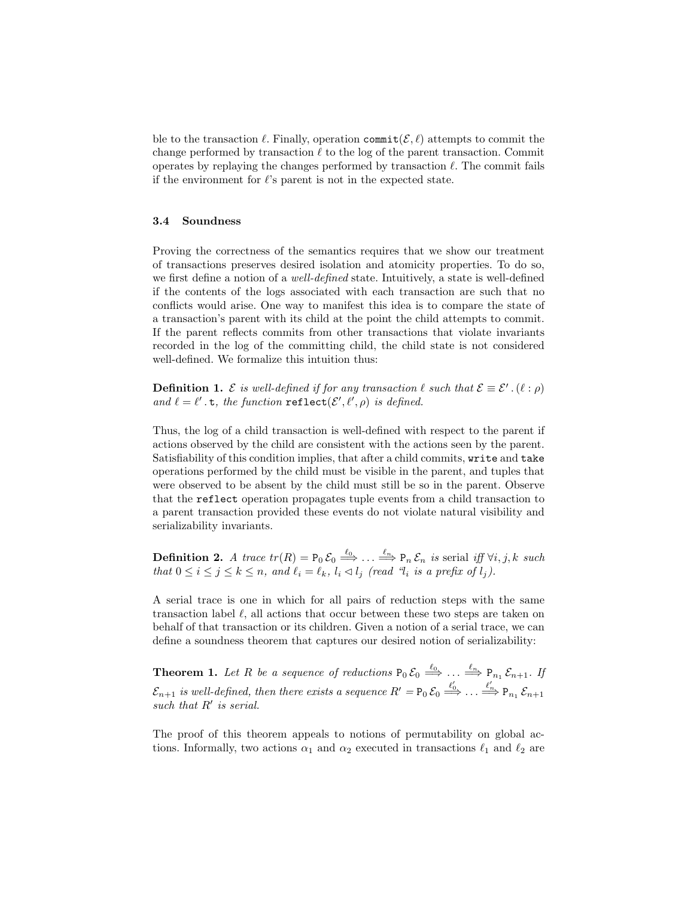ble to the transaction  $\ell$ . Finally, operation commit( $\mathcal{E}, \ell$ ) attempts to commit the change performed by transaction  $\ell$  to the log of the parent transaction. Commit operates by replaying the changes performed by transaction  $\ell$ . The commit fails if the environment for  $\ell$ 's parent is not in the expected state.

#### 3.4 Soundness

Proving the correctness of the semantics requires that we show our treatment of transactions preserves desired isolation and atomicity properties. To do so, we first define a notion of a *well-defined* state. Intuitively, a state is well-defined if the contents of the logs associated with each transaction are such that no conflicts would arise. One way to manifest this idea is to compare the state of a transaction's parent with its child at the point the child attempts to commit. If the parent reflects commits from other transactions that violate invariants recorded in the log of the committing child, the child state is not considered well-defined. We formalize this intuition thus:

**Definition 1.**  $\mathcal{E}$  is well-defined if for any transaction  $\ell$  such that  $\mathcal{E} \equiv \mathcal{E}'$ .  $(\ell : \rho)$ and  $\ell = \ell'$ .t, the function reflect $(\mathcal{E}', \ell', \rho)$  is defined.

Thus, the log of a child transaction is well-defined with respect to the parent if actions observed by the child are consistent with the actions seen by the parent. Satisfiability of this condition implies, that after a child commits, write and take operations performed by the child must be visible in the parent, and tuples that were observed to be absent by the child must still be so in the parent. Observe that the reflect operation propagates tuple events from a child transaction to a parent transaction provided these events do not violate natural visibility and serializability invariants.

**Definition 2.** A trace  $tr(R) = \mathbb{P}_0 \mathcal{E}_0 \stackrel{\ell_0}{\Longrightarrow} \ldots \stackrel{\ell_n}{\Longrightarrow} \mathbb{P}_n \mathcal{E}_n$  is serial iff  $\forall i, j, k$  such that  $0 \leq i \leq j \leq k \leq n$ , and  $\ell_i = \ell_k$ ,  $l_i \lhd l_j$  (read " $l_i$  is a prefix of  $l_j$ ).

A serial trace is one in which for all pairs of reduction steps with the same transaction label  $\ell$ , all actions that occur between these two steps are taken on behalf of that transaction or its children. Given a notion of a serial trace, we can define a soundness theorem that captures our desired notion of serializability:

**Theorem 1.** Let R be a sequence of reductions  $P_0 \mathcal{E}_0 \stackrel{\ell_0}{\Longrightarrow} \ldots \stackrel{\ell_n}{\Longrightarrow} P_{n_1} \mathcal{E}_{n+1}$ . If  $\mathcal{E}_{n+1}$  is well-defined, then there exists a sequence  $R' = \mathsf{P}_0 \,\mathcal{E}_0 \stackrel{\ell'_0}{\Longrightarrow} \ldots \stackrel{\ell'_n}{\Longrightarrow} \mathsf{P}_{n_1} \,\mathcal{E}_{n+1}$ such that  $R'$  is serial.

The proof of this theorem appeals to notions of permutability on global actions. Informally, two actions  $\alpha_1$  and  $\alpha_2$  executed in transactions  $\ell_1$  and  $\ell_2$  are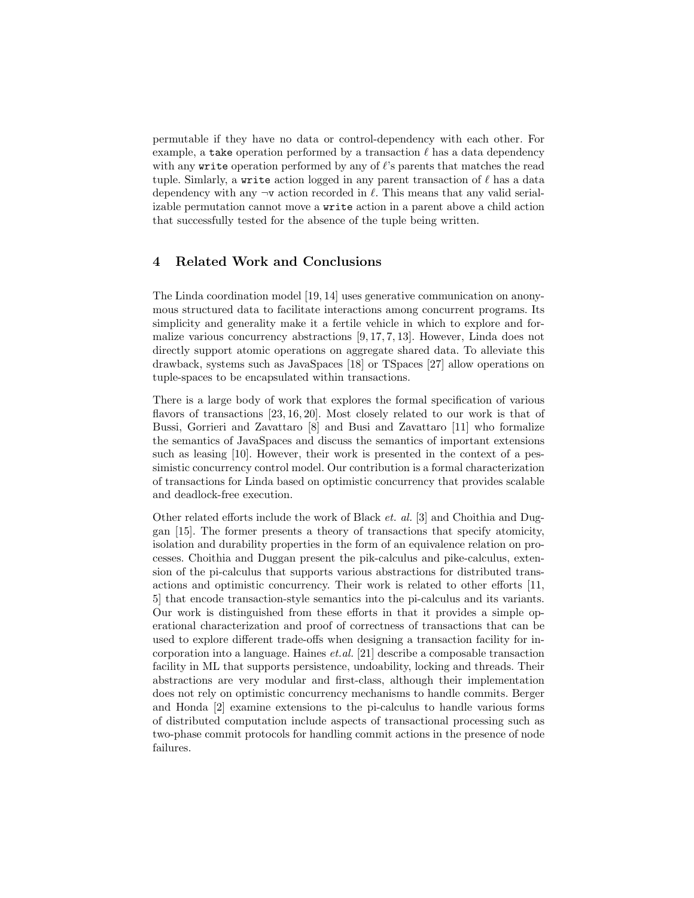permutable if they have no data or control-dependency with each other. For example, a take operation performed by a transaction  $\ell$  has a data dependency with any write operation performed by any of  $\ell$ 's parents that matches the read tuple. Simlarly, a write action logged in any parent transaction of  $\ell$  has a data dependency with any  $\neg v$  action recorded in  $\ell$ . This means that any valid serializable permutation cannot move a write action in a parent above a child action that successfully tested for the absence of the tuple being written.

# 4 Related Work and Conclusions

The Linda coordination model [19, 14] uses generative communication on anonymous structured data to facilitate interactions among concurrent programs. Its simplicity and generality make it a fertile vehicle in which to explore and formalize various concurrency abstractions [9, 17, 7, 13]. However, Linda does not directly support atomic operations on aggregate shared data. To alleviate this drawback, systems such as JavaSpaces [18] or TSpaces [27] allow operations on tuple-spaces to be encapsulated within transactions.

There is a large body of work that explores the formal specification of various flavors of transactions [23, 16, 20]. Most closely related to our work is that of Bussi, Gorrieri and Zavattaro [8] and Busi and Zavattaro [11] who formalize the semantics of JavaSpaces and discuss the semantics of important extensions such as leasing [10]. However, their work is presented in the context of a pessimistic concurrency control model. Our contribution is a formal characterization of transactions for Linda based on optimistic concurrency that provides scalable and deadlock-free execution.

Other related efforts include the work of Black et. al. [3] and Choithia and Duggan [15]. The former presents a theory of transactions that specify atomicity, isolation and durability properties in the form of an equivalence relation on processes. Choithia and Duggan present the pik-calculus and pike-calculus, extension of the pi-calculus that supports various abstractions for distributed transactions and optimistic concurrency. Their work is related to other efforts [11, 5] that encode transaction-style semantics into the pi-calculus and its variants. Our work is distinguished from these efforts in that it provides a simple operational characterization and proof of correctness of transactions that can be used to explore different trade-offs when designing a transaction facility for incorporation into a language. Haines et.al. [21] describe a composable transaction facility in ML that supports persistence, undoability, locking and threads. Their abstractions are very modular and first-class, although their implementation does not rely on optimistic concurrency mechanisms to handle commits. Berger and Honda [2] examine extensions to the pi-calculus to handle various forms of distributed computation include aspects of transactional processing such as two-phase commit protocols for handling commit actions in the presence of node failures.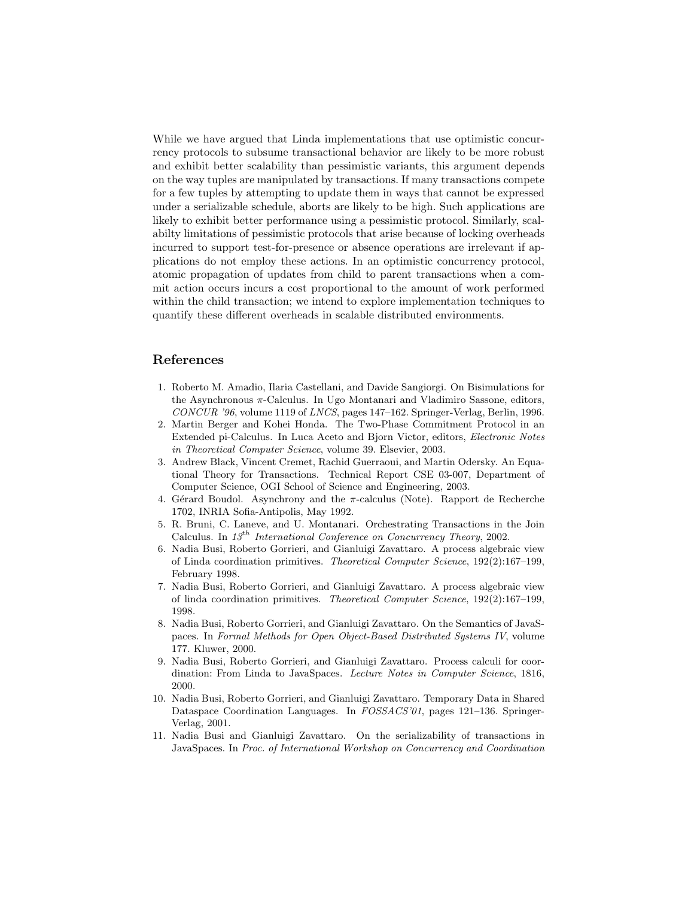While we have argued that Linda implementations that use optimistic concurrency protocols to subsume transactional behavior are likely to be more robust and exhibit better scalability than pessimistic variants, this argument depends on the way tuples are manipulated by transactions. If many transactions compete for a few tuples by attempting to update them in ways that cannot be expressed under a serializable schedule, aborts are likely to be high. Such applications are likely to exhibit better performance using a pessimistic protocol. Similarly, scalabilty limitations of pessimistic protocols that arise because of locking overheads incurred to support test-for-presence or absence operations are irrelevant if applications do not employ these actions. In an optimistic concurrency protocol, atomic propagation of updates from child to parent transactions when a commit action occurs incurs a cost proportional to the amount of work performed within the child transaction; we intend to explore implementation techniques to quantify these different overheads in scalable distributed environments.

### References

- 1. Roberto M. Amadio, Ilaria Castellani, and Davide Sangiorgi. On Bisimulations for the Asynchronous  $\pi$ -Calculus. In Ugo Montanari and Vladimiro Sassone, editors, CONCUR '96, volume 1119 of LNCS, pages 147–162. Springer-Verlag, Berlin, 1996.
- 2. Martin Berger and Kohei Honda. The Two-Phase Commitment Protocol in an Extended pi-Calculus. In Luca Aceto and Bjorn Victor, editors, Electronic Notes in Theoretical Computer Science, volume 39. Elsevier, 2003.
- 3. Andrew Black, Vincent Cremet, Rachid Guerraoui, and Martin Odersky. An Equational Theory for Transactions. Technical Report CSE 03-007, Department of Computer Science, OGI School of Science and Engineering, 2003.
- 4. Gérard Boudol. Asynchrony and the  $\pi$ -calculus (Note). Rapport de Recherche 1702, INRIA Sofia-Antipolis, May 1992.
- 5. R. Bruni, C. Laneve, and U. Montanari. Orchestrating Transactions in the Join Calculus. In  $13^{th}$  International Conference on Concurrency Theory, 2002.
- 6. Nadia Busi, Roberto Gorrieri, and Gianluigi Zavattaro. A process algebraic view of Linda coordination primitives. Theoretical Computer Science, 192(2):167–199, February 1998.
- 7. Nadia Busi, Roberto Gorrieri, and Gianluigi Zavattaro. A process algebraic view of linda coordination primitives. Theoretical Computer Science, 192(2):167–199, 1998.
- 8. Nadia Busi, Roberto Gorrieri, and Gianluigi Zavattaro. On the Semantics of JavaSpaces. In Formal Methods for Open Object-Based Distributed Systems IV, volume 177. Kluwer, 2000.
- 9. Nadia Busi, Roberto Gorrieri, and Gianluigi Zavattaro. Process calculi for coordination: From Linda to JavaSpaces. Lecture Notes in Computer Science, 1816, 2000.
- 10. Nadia Busi, Roberto Gorrieri, and Gianluigi Zavattaro. Temporary Data in Shared Dataspace Coordination Languages. In FOSSACS'01, pages 121–136. Springer-Verlag, 2001.
- 11. Nadia Busi and Gianluigi Zavattaro. On the serializability of transactions in JavaSpaces. In Proc. of International Workshop on Concurrency and Coordination